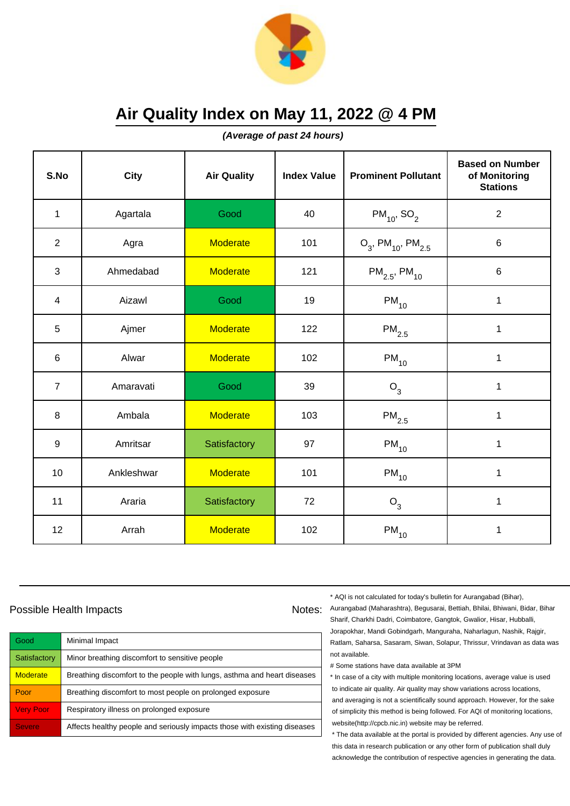

**(Average of past 24 hours)**

| S.No           | <b>City</b> | <b>Air Quality</b> | <b>Index Value</b> | <b>Prominent Pollutant</b>                   | <b>Based on Number</b><br>of Monitoring<br><b>Stations</b> |
|----------------|-------------|--------------------|--------------------|----------------------------------------------|------------------------------------------------------------|
| $\mathbf{1}$   | Agartala    | Good               | 40                 | $PM_{10}$ , SO <sub>2</sub>                  | $\overline{2}$                                             |
| $\overline{2}$ | Agra        | <b>Moderate</b>    | 101                | $O_3$ , PM <sub>10</sub> , PM <sub>2.5</sub> | $\,6$                                                      |
| 3              | Ahmedabad   | <b>Moderate</b>    | 121                | $PM_{2.5}$ , PM <sub>10</sub>                | $\,6$                                                      |
| $\overline{4}$ | Aizawl      | Good               | 19                 | $PM_{10}$                                    | 1                                                          |
| 5              | Ajmer       | <b>Moderate</b>    | 122                | $PM_{2.5}$                                   | 1                                                          |
| 6              | Alwar       | <b>Moderate</b>    | 102                | $\mathsf{PM}_{10}$                           | 1                                                          |
| $\overline{7}$ | Amaravati   | Good               | 39                 | $O_3$                                        | 1                                                          |
| 8              | Ambala      | <b>Moderate</b>    | 103                | $\mathsf{PM}_{2.5}$                          | 1                                                          |
| 9              | Amritsar    | Satisfactory       | 97                 | $PM_{10}$                                    | $\mathbf 1$                                                |
| 10             | Ankleshwar  | <b>Moderate</b>    | 101                | $\mathsf{PM}_{10}$                           | 1                                                          |
| 11             | Araria      | Satisfactory       | 72                 | $O_3$                                        | 1                                                          |
| 12             | Arrah       | <b>Moderate</b>    | 102                | $PM_{10}$                                    | 1                                                          |

### Possible Health Impacts

| Good             | Minimal Impact                                                            |
|------------------|---------------------------------------------------------------------------|
| Satisfactory     | Minor breathing discomfort to sensitive people                            |
| <b>Moderate</b>  | Breathing discomfort to the people with lungs, asthma and heart diseases  |
| Poor             | Breathing discomfort to most people on prolonged exposure                 |
| <b>Very Poor</b> | Respiratory illness on prolonged exposure                                 |
| <b>Severe</b>    | Affects healthy people and seriously impacts those with existing diseases |

\* AQI is not calculated for today's bulletin for Aurangabad (Bihar),

Notes: Aurangabad (Maharashtra), Begusarai, Bettiah, Bhilai, Bhiwani, Bidar, Bihar Sharif, Charkhi Dadri, Coimbatore, Gangtok, Gwalior, Hisar, Hubballi, Jorapokhar, Mandi Gobindgarh, Manguraha, Naharlagun, Nashik, Rajgir, Ratlam, Saharsa, Sasaram, Siwan, Solapur, Thrissur, Vrindavan as data was not available.

# Some stations have data available at 3PM

\* In case of a city with multiple monitoring locations, average value is used to indicate air quality. Air quality may show variations across locations, and averaging is not a scientifically sound approach. However, for the sake of simplicity this method is being followed. For AQI of monitoring locations, website(http://cpcb.nic.in) website may be referred.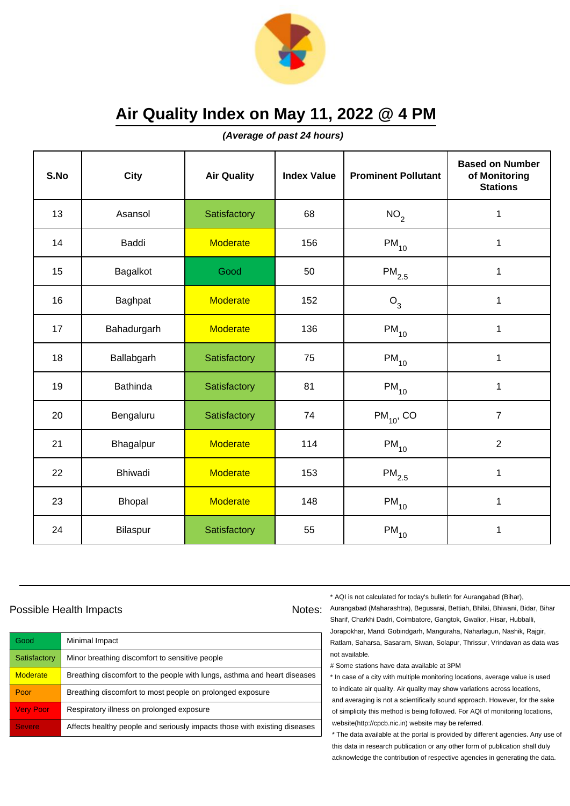

**(Average of past 24 hours)**

| S.No | <b>City</b>     | <b>Air Quality</b> | <b>Index Value</b> | <b>Prominent Pollutant</b> | <b>Based on Number</b><br>of Monitoring<br><b>Stations</b> |
|------|-----------------|--------------------|--------------------|----------------------------|------------------------------------------------------------|
| 13   | Asansol         | Satisfactory       | 68                 | NO <sub>2</sub>            | 1                                                          |
| 14   | <b>Baddi</b>    | <b>Moderate</b>    | 156                | $PM_{10}$                  | 1                                                          |
| 15   | Bagalkot        | Good               | 50                 | $\mathsf{PM}_{2.5}$        | 1                                                          |
| 16   | Baghpat         | <b>Moderate</b>    | 152                | O <sub>3</sub>             | 1                                                          |
| 17   | Bahadurgarh     | <b>Moderate</b>    | 136                | $\mathsf{PM}_{10}$         | 1                                                          |
| 18   | Ballabgarh      | Satisfactory       | 75                 | $PM_{10}$                  | 1                                                          |
| 19   | <b>Bathinda</b> | Satisfactory       | 81                 | $PM_{10}$                  | 1                                                          |
| 20   | Bengaluru       | Satisfactory       | 74                 | $PM_{10}$ , CO             | $\overline{7}$                                             |
| 21   | Bhagalpur       | <b>Moderate</b>    | 114                | $PM_{10}$                  | $\overline{2}$                                             |
| 22   | <b>Bhiwadi</b>  | <b>Moderate</b>    | 153                | $PM_{2.5}$                 | $\mathbf{1}$                                               |
| 23   | Bhopal          | <b>Moderate</b>    | 148                | $\mathsf{PM}_{10}$         | 1                                                          |
| 24   | Bilaspur        | Satisfactory       | 55                 | $\mathsf{PM}_{10}$         | 1                                                          |

### Possible Health Impacts

| Good             | Minimal Impact                                                            |
|------------------|---------------------------------------------------------------------------|
| Satisfactory     | Minor breathing discomfort to sensitive people                            |
| <b>Moderate</b>  | Breathing discomfort to the people with lungs, asthma and heart diseases  |
| Poor             | Breathing discomfort to most people on prolonged exposure                 |
| <b>Very Poor</b> | Respiratory illness on prolonged exposure                                 |
| <b>Severe</b>    | Affects healthy people and seriously impacts those with existing diseases |

\* AQI is not calculated for today's bulletin for Aurangabad (Bihar),

Notes: Aurangabad (Maharashtra), Begusarai, Bettiah, Bhilai, Bhiwani, Bidar, Bihar Sharif, Charkhi Dadri, Coimbatore, Gangtok, Gwalior, Hisar, Hubballi, Jorapokhar, Mandi Gobindgarh, Manguraha, Naharlagun, Nashik, Rajgir, Ratlam, Saharsa, Sasaram, Siwan, Solapur, Thrissur, Vrindavan as data was not available.

# Some stations have data available at 3PM

\* In case of a city with multiple monitoring locations, average value is used to indicate air quality. Air quality may show variations across locations, and averaging is not a scientifically sound approach. However, for the sake of simplicity this method is being followed. For AQI of monitoring locations, website(http://cpcb.nic.in) website may be referred.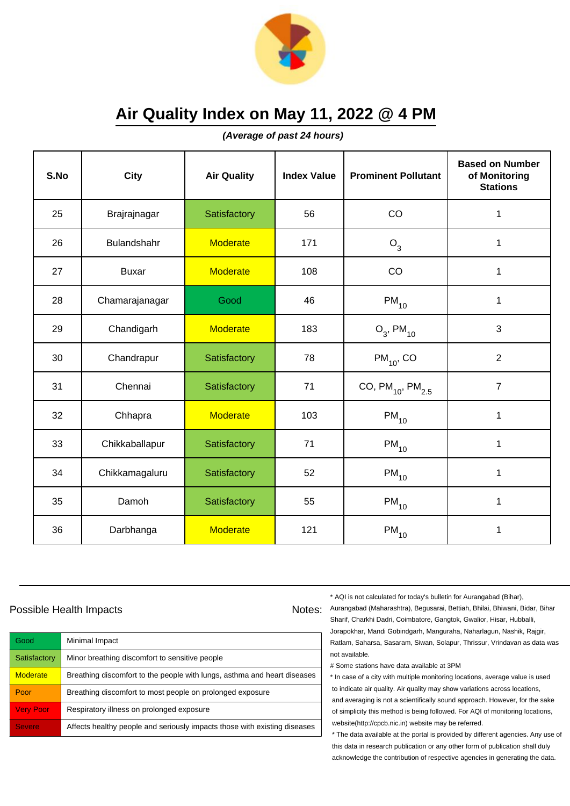

**(Average of past 24 hours)**

| S.No | <b>City</b>    | <b>Air Quality</b> | <b>Index Value</b> | <b>Prominent Pollutant</b> | <b>Based on Number</b><br>of Monitoring<br><b>Stations</b> |
|------|----------------|--------------------|--------------------|----------------------------|------------------------------------------------------------|
| 25   | Brajrajnagar   | Satisfactory       | 56                 | CO                         | 1                                                          |
| 26   | Bulandshahr    | <b>Moderate</b>    | 171                | O <sub>3</sub>             | 1                                                          |
| 27   | <b>Buxar</b>   | <b>Moderate</b>    | 108                | CO                         | 1                                                          |
| 28   | Chamarajanagar | Good               | 46                 | $PM_{10}$                  | 1                                                          |
| 29   | Chandigarh     | <b>Moderate</b>    | 183                | $O_3$ , PM <sub>10</sub>   | 3                                                          |
| 30   | Chandrapur     | Satisfactory       | 78                 | $PM_{10}$ , CO             | $\overline{2}$                                             |
| 31   | Chennai        | Satisfactory       | 71                 | CO, $PM_{10}$ , $PM_{2.5}$ | $\overline{7}$                                             |
| 32   | Chhapra        | <b>Moderate</b>    | 103                | $PM_{10}$                  | 1                                                          |
| 33   | Chikkaballapur | Satisfactory       | 71                 | $PM_{10}$                  | $\mathbf 1$                                                |
| 34   | Chikkamagaluru | Satisfactory       | 52                 | $PM_{10}$                  | 1                                                          |
| 35   | Damoh          | Satisfactory       | 55                 | $PM_{10}$                  | 1                                                          |
| 36   | Darbhanga      | <b>Moderate</b>    | 121                | $PM_{10}$                  | 1                                                          |

#### Possible Health Impacts

| Good            | Minimal Impact                                                            |
|-----------------|---------------------------------------------------------------------------|
| Satisfactory    | Minor breathing discomfort to sensitive people                            |
| <b>Moderate</b> | Breathing discomfort to the people with lungs, asthma and heart diseases  |
| Poor            | Breathing discomfort to most people on prolonged exposure                 |
| Very Poor       | Respiratory illness on prolonged exposure                                 |
| <b>Severe</b>   | Affects healthy people and seriously impacts those with existing diseases |

\* AQI is not calculated for today's bulletin for Aurangabad (Bihar),

Notes: Aurangabad (Maharashtra), Begusarai, Bettiah, Bhilai, Bhiwani, Bidar, Bihar Sharif, Charkhi Dadri, Coimbatore, Gangtok, Gwalior, Hisar, Hubballi, Jorapokhar, Mandi Gobindgarh, Manguraha, Naharlagun, Nashik, Rajgir, Ratlam, Saharsa, Sasaram, Siwan, Solapur, Thrissur, Vrindavan as data was not available.

# Some stations have data available at 3PM

\* In case of a city with multiple monitoring locations, average value is used to indicate air quality. Air quality may show variations across locations, and averaging is not a scientifically sound approach. However, for the sake of simplicity this method is being followed. For AQI of monitoring locations, website(http://cpcb.nic.in) website may be referred.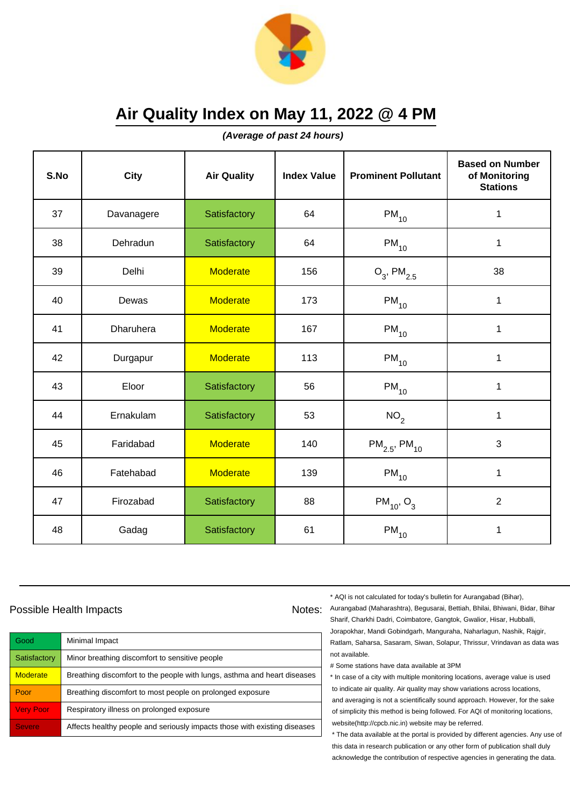

**(Average of past 24 hours)**

| S.No | <b>City</b> | <b>Air Quality</b> | <b>Index Value</b> | <b>Prominent Pollutant</b>    | <b>Based on Number</b><br>of Monitoring<br><b>Stations</b> |
|------|-------------|--------------------|--------------------|-------------------------------|------------------------------------------------------------|
| 37   | Davanagere  | Satisfactory       | 64                 | $PM_{10}$                     | 1                                                          |
| 38   | Dehradun    | Satisfactory       | 64                 | $\mathsf{PM}_{10}$            | 1                                                          |
| 39   | Delhi       | <b>Moderate</b>    | 156                | $O_3$ , PM <sub>2.5</sub>     | 38                                                         |
| 40   | Dewas       | <b>Moderate</b>    | 173                | $PM_{10}$                     | $\mathbf{1}$                                               |
| 41   | Dharuhera   | <b>Moderate</b>    | 167                | $PM_{10}$                     | $\mathbf 1$                                                |
| 42   | Durgapur    | <b>Moderate</b>    | 113                | $PM_{10}$                     | 1                                                          |
| 43   | Eloor       | Satisfactory       | 56                 | $\mathsf{PM}_{10}$            | $\mathbf{1}$                                               |
| 44   | Ernakulam   | Satisfactory       | 53                 | NO <sub>2</sub>               | $\mathbf{1}$                                               |
| 45   | Faridabad   | <b>Moderate</b>    | 140                | $PM_{2.5}$ , PM <sub>10</sub> | 3                                                          |
| 46   | Fatehabad   | <b>Moderate</b>    | 139                | $PM_{10}$                     | $\mathbf 1$                                                |
| 47   | Firozabad   | Satisfactory       | 88                 | $PM_{10}$ , O <sub>3</sub>    | $\overline{2}$                                             |
| 48   | Gadag       | Satisfactory       | 61                 | $PM_{10}$                     | 1                                                          |

### Possible Health Impacts

| Good             | Minimal Impact                                                            |
|------------------|---------------------------------------------------------------------------|
| Satisfactory     | Minor breathing discomfort to sensitive people                            |
| <b>Moderate</b>  | Breathing discomfort to the people with lungs, asthma and heart diseases  |
| Poor             | Breathing discomfort to most people on prolonged exposure                 |
| <b>Very Poor</b> | Respiratory illness on prolonged exposure                                 |
| <b>Severe</b>    | Affects healthy people and seriously impacts those with existing diseases |

\* AQI is not calculated for today's bulletin for Aurangabad (Bihar),

Notes: Aurangabad (Maharashtra), Begusarai, Bettiah, Bhilai, Bhiwani, Bidar, Bihar Sharif, Charkhi Dadri, Coimbatore, Gangtok, Gwalior, Hisar, Hubballi, Jorapokhar, Mandi Gobindgarh, Manguraha, Naharlagun, Nashik, Rajgir, Ratlam, Saharsa, Sasaram, Siwan, Solapur, Thrissur, Vrindavan as data was not available.

# Some stations have data available at 3PM

\* In case of a city with multiple monitoring locations, average value is used to indicate air quality. Air quality may show variations across locations, and averaging is not a scientifically sound approach. However, for the sake of simplicity this method is being followed. For AQI of monitoring locations, website(http://cpcb.nic.in) website may be referred.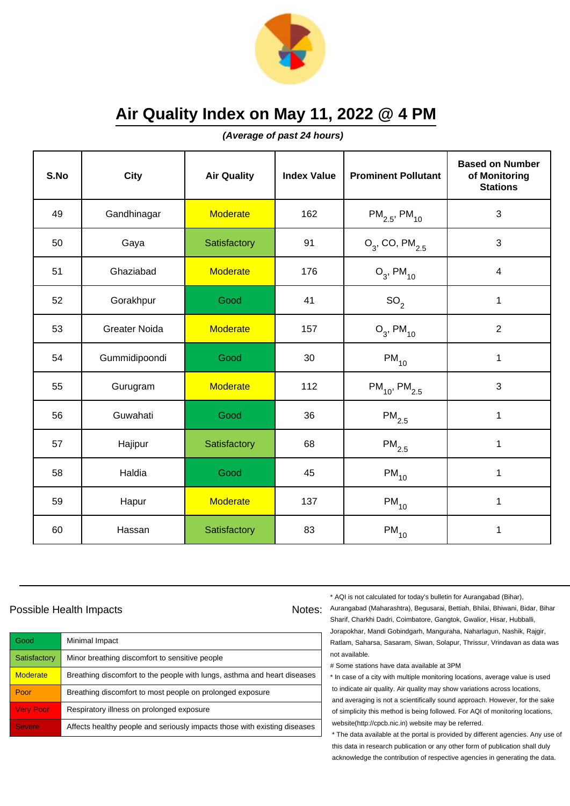

**(Average of past 24 hours)**

| S.No | <b>City</b>          | <b>Air Quality</b> | <b>Index Value</b> | <b>Prominent Pollutant</b>    | <b>Based on Number</b><br>of Monitoring<br><b>Stations</b> |
|------|----------------------|--------------------|--------------------|-------------------------------|------------------------------------------------------------|
| 49   | Gandhinagar          | <b>Moderate</b>    | 162                | $PM_{2.5}$ , PM <sub>10</sub> | 3                                                          |
| 50   | Gaya                 | Satisfactory       | 91                 | $O_3$ , CO, PM $_{2.5}$       | 3                                                          |
| 51   | Ghaziabad            | <b>Moderate</b>    | 176                | $O_3$ , PM <sub>10</sub>      | $\overline{4}$                                             |
| 52   | Gorakhpur            | Good               | 41                 | SO <sub>2</sub>               | 1                                                          |
| 53   | <b>Greater Noida</b> | <b>Moderate</b>    | 157                | $O_3$ , PM <sub>10</sub>      | $\overline{2}$                                             |
| 54   | Gummidipoondi        | Good               | 30                 | $PM_{10}$                     | 1                                                          |
| 55   | Gurugram             | <b>Moderate</b>    | 112                | $PM_{10}$ , PM <sub>2.5</sub> | 3                                                          |
| 56   | Guwahati             | Good               | 36                 | $\mathsf{PM}_{2.5}$           | $\mathbf{1}$                                               |
| 57   | Hajipur              | Satisfactory       | 68                 | $PM_{2.5}$                    | $\mathbf 1$                                                |
| 58   | Haldia               | Good               | 45                 | $PM_{10}$                     | 1                                                          |
| 59   | Hapur                | <b>Moderate</b>    | 137                | $PM_{10}$                     | $\mathbf{1}$                                               |
| 60   | Hassan               | Satisfactory       | 83                 | $PM_{10}$                     | 1                                                          |

### Possible Health Impacts

| Good             | Minimal Impact                                                            |
|------------------|---------------------------------------------------------------------------|
| Satisfactory     | Minor breathing discomfort to sensitive people                            |
| <b>Moderate</b>  | Breathing discomfort to the people with lungs, asthma and heart diseases  |
| Poor             | Breathing discomfort to most people on prolonged exposure                 |
| <b>Very Poor</b> | Respiratory illness on prolonged exposure                                 |
| <b>Severe</b>    | Affects healthy people and seriously impacts those with existing diseases |

\* AQI is not calculated for today's bulletin for Aurangabad (Bihar),

Notes: Aurangabad (Maharashtra), Begusarai, Bettiah, Bhilai, Bhiwani, Bidar, Bihar Sharif, Charkhi Dadri, Coimbatore, Gangtok, Gwalior, Hisar, Hubballi, Jorapokhar, Mandi Gobindgarh, Manguraha, Naharlagun, Nashik, Rajgir, Ratlam, Saharsa, Sasaram, Siwan, Solapur, Thrissur, Vrindavan as data was not available.

# Some stations have data available at 3PM

\* In case of a city with multiple monitoring locations, average value is used to indicate air quality. Air quality may show variations across locations, and averaging is not a scientifically sound approach. However, for the sake of simplicity this method is being followed. For AQI of monitoring locations, website(http://cpcb.nic.in) website may be referred.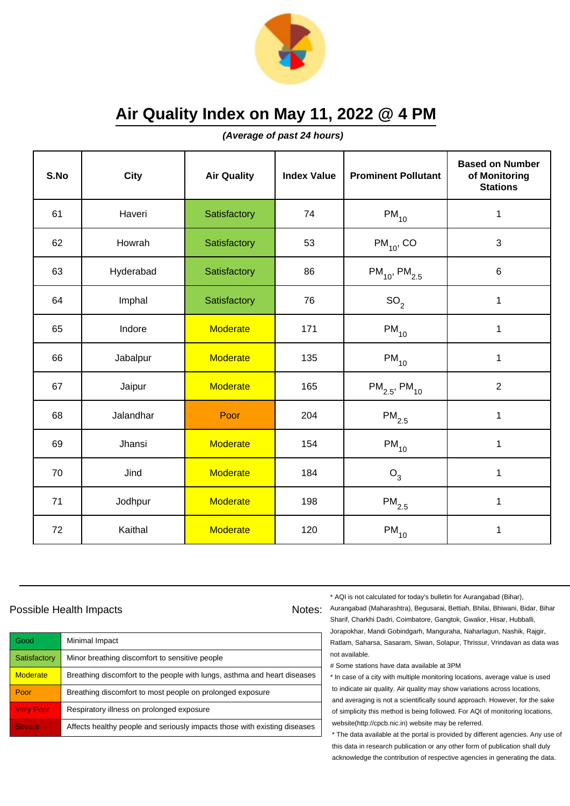

**(Average of past 24 hours)**

| S.No | City      | <b>Air Quality</b> | <b>Index Value</b> | <b>Prominent Pollutant</b>    | <b>Based on Number</b><br>of Monitoring<br><b>Stations</b> |
|------|-----------|--------------------|--------------------|-------------------------------|------------------------------------------------------------|
| 61   | Haveri    | Satisfactory       | 74                 | $PM_{10}$                     | $\mathbf 1$                                                |
| 62   | Howrah    | Satisfactory       | 53                 | $PM_{10}$ , CO                | $\mathbf{3}$                                               |
| 63   | Hyderabad | Satisfactory       | 86                 | $PM_{10}$ , PM <sub>2.5</sub> | 6                                                          |
| 64   | Imphal    | Satisfactory       | 76                 | SO <sub>2</sub>               | $\mathbf{1}$                                               |
| 65   | Indore    | <b>Moderate</b>    | 171                | $PM_{10}$                     | $\mathbf 1$                                                |
| 66   | Jabalpur  | <b>Moderate</b>    | 135                | $PM_{10}$                     | $\mathbf{1}$                                               |
| 67   | Jaipur    | <b>Moderate</b>    | 165                | $PM_{2.5}$ , PM <sub>10</sub> | $\overline{2}$                                             |
| 68   | Jalandhar | Poor               | 204                | $PM_{2.5}$                    | 1                                                          |
| 69   | Jhansi    | <b>Moderate</b>    | 154                | $PM_{10}$                     | $\mathbf{1}$                                               |
| 70   | Jind      | <b>Moderate</b>    | 184                | $O_3$                         | 1                                                          |
| 71   | Jodhpur   | <b>Moderate</b>    | 198                | $\mathsf{PM}_{2.5}$           | 1                                                          |
| 72   | Kaithal   | <b>Moderate</b>    | 120                | $\mathsf{PM}_{10}$            | 1                                                          |

### Possible Health Impacts

| Good             | Minimal Impact                                                            |
|------------------|---------------------------------------------------------------------------|
| Satisfactory     | Minor breathing discomfort to sensitive people                            |
| <b>Moderate</b>  | Breathing discomfort to the people with lungs, asthma and heart diseases  |
| Poor             | Breathing discomfort to most people on prolonged exposure                 |
| <b>Very Poor</b> | Respiratory illness on prolonged exposure                                 |
| <b>Severe</b>    | Affects healthy people and seriously impacts those with existing diseases |

\* AQI is not calculated for today's bulletin for Aurangabad (Bihar),

Notes: Aurangabad (Maharashtra), Begusarai, Bettiah, Bhilai, Bhiwani, Bidar, Bihar Sharif, Charkhi Dadri, Coimbatore, Gangtok, Gwalior, Hisar, Hubballi, Jorapokhar, Mandi Gobindgarh, Manguraha, Naharlagun, Nashik, Rajgir, Ratlam, Saharsa, Sasaram, Siwan, Solapur, Thrissur, Vrindavan as data was not available.

# Some stations have data available at 3PM

\* In case of a city with multiple monitoring locations, average value is used to indicate air quality. Air quality may show variations across locations, and averaging is not a scientifically sound approach. However, for the sake of simplicity this method is being followed. For AQI of monitoring locations, website(http://cpcb.nic.in) website may be referred.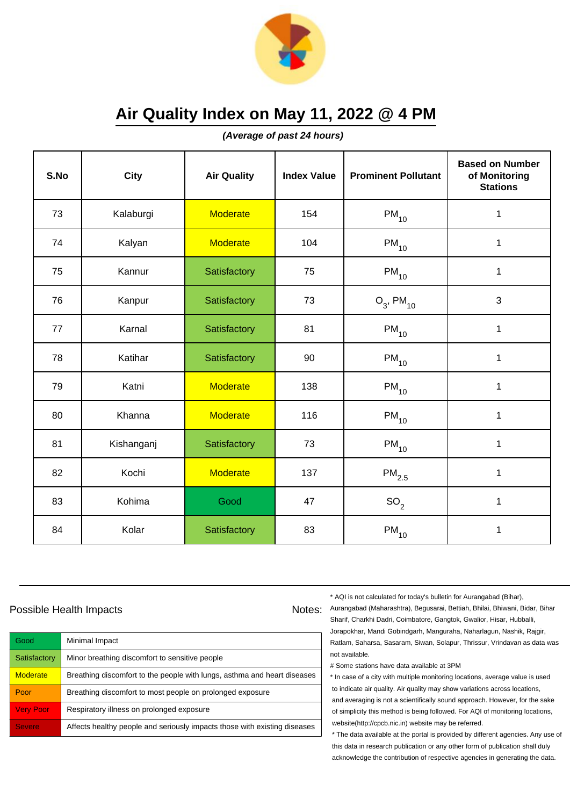

**(Average of past 24 hours)**

| S.No | <b>City</b> | <b>Air Quality</b> | <b>Index Value</b> | <b>Prominent Pollutant</b> | <b>Based on Number</b><br>of Monitoring<br><b>Stations</b> |
|------|-------------|--------------------|--------------------|----------------------------|------------------------------------------------------------|
| 73   | Kalaburgi   | <b>Moderate</b>    | 154                | $PM_{10}$                  | $\mathbf 1$                                                |
| 74   | Kalyan      | <b>Moderate</b>    | 104                | $PM_{10}$                  | $\mathbf 1$                                                |
| 75   | Kannur      | Satisfactory       | 75                 | $PM_{10}$                  | 1                                                          |
| 76   | Kanpur      | Satisfactory       | 73                 | $O_3$ , PM <sub>10</sub>   | $\mathbf{3}$                                               |
| 77   | Karnal      | Satisfactory       | 81                 | $PM_{10}$                  | $\mathbf 1$                                                |
| 78   | Katihar     | Satisfactory       | 90                 | $PM_{10}$                  | $\mathbf 1$                                                |
| 79   | Katni       | <b>Moderate</b>    | 138                | $PM_{10}$                  | 1                                                          |
| 80   | Khanna      | <b>Moderate</b>    | 116                | $PM_{10}$                  | $\mathbf{1}$                                               |
| 81   | Kishanganj  | Satisfactory       | 73                 | $PM_{10}$                  | $\mathbf 1$                                                |
| 82   | Kochi       | <b>Moderate</b>    | 137                | $PM_{2.5}$                 | 1                                                          |
| 83   | Kohima      | Good               | 47                 | SO <sub>2</sub>            | $\mathbf{1}$                                               |
| 84   | Kolar       | Satisfactory       | 83                 | $\mathsf{PM}_{10}$         | 1                                                          |

### Possible Health Impacts

| Good             | Minimal Impact                                                            |
|------------------|---------------------------------------------------------------------------|
| Satisfactory     | Minor breathing discomfort to sensitive people                            |
| <b>Moderate</b>  | Breathing discomfort to the people with lungs, asthma and heart diseases  |
| Poor             | Breathing discomfort to most people on prolonged exposure                 |
| <b>Very Poor</b> | Respiratory illness on prolonged exposure                                 |
| <b>Severe</b>    | Affects healthy people and seriously impacts those with existing diseases |

\* AQI is not calculated for today's bulletin for Aurangabad (Bihar),

Notes: Aurangabad (Maharashtra), Begusarai, Bettiah, Bhilai, Bhiwani, Bidar, Bihar Sharif, Charkhi Dadri, Coimbatore, Gangtok, Gwalior, Hisar, Hubballi, Jorapokhar, Mandi Gobindgarh, Manguraha, Naharlagun, Nashik, Rajgir, Ratlam, Saharsa, Sasaram, Siwan, Solapur, Thrissur, Vrindavan as data was not available.

# Some stations have data available at 3PM

\* In case of a city with multiple monitoring locations, average value is used to indicate air quality. Air quality may show variations across locations, and averaging is not a scientifically sound approach. However, for the sake of simplicity this method is being followed. For AQI of monitoring locations, website(http://cpcb.nic.in) website may be referred.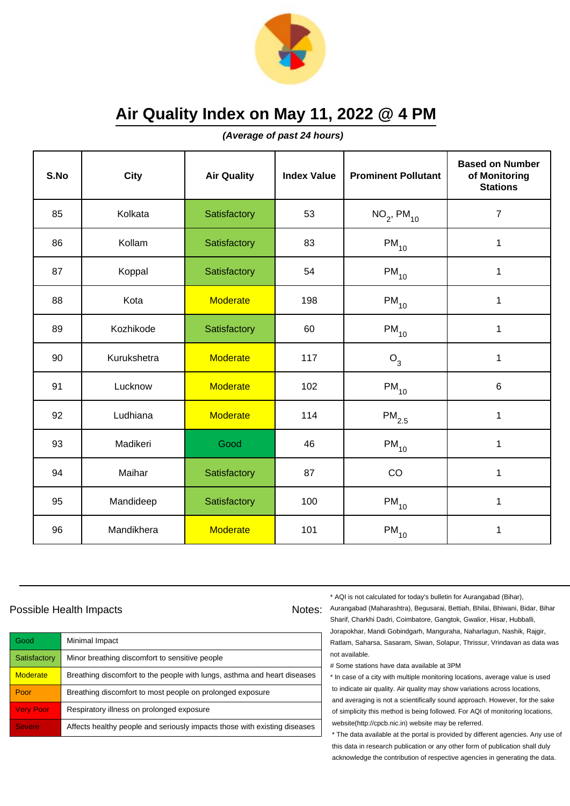

**(Average of past 24 hours)**

| S.No | <b>City</b> | <b>Air Quality</b> | <b>Index Value</b> | <b>Prominent Pollutant</b>  | <b>Based on Number</b><br>of Monitoring<br><b>Stations</b> |
|------|-------------|--------------------|--------------------|-----------------------------|------------------------------------------------------------|
| 85   | Kolkata     | Satisfactory       | 53                 | $NO_{2}$ , PM <sub>10</sub> | $\overline{7}$                                             |
| 86   | Kollam      | Satisfactory       | 83                 | $PM_{10}$                   | 1                                                          |
| 87   | Koppal      | Satisfactory       | 54                 | $PM_{10}$                   | 1                                                          |
| 88   | Kota        | <b>Moderate</b>    | 198                | $\mathsf{PM}_{10}$          | 1                                                          |
| 89   | Kozhikode   | Satisfactory       | 60                 | $PM_{10}$                   | $\mathbf{1}$                                               |
| 90   | Kurukshetra | <b>Moderate</b>    | 117                | $O_3$                       | 1                                                          |
| 91   | Lucknow     | <b>Moderate</b>    | 102                | $\mathsf{PM}_{10}$          | $\,6$                                                      |
| 92   | Ludhiana    | <b>Moderate</b>    | 114                | $PM_{2.5}$                  | 1                                                          |
| 93   | Madikeri    | Good               | 46                 | $PM_{10}$                   | 1                                                          |
| 94   | Maihar      | Satisfactory       | 87                 | CO                          | $\mathbf{1}$                                               |
| 95   | Mandideep   | Satisfactory       | 100                | $PM_{10}$                   | 1                                                          |
| 96   | Mandikhera  | <b>Moderate</b>    | 101                | $\mathsf{PM}_{10}$          | 1                                                          |

#### Possible Health Impacts

| Good             | Minimal Impact                                                            |
|------------------|---------------------------------------------------------------------------|
| Satisfactory     | Minor breathing discomfort to sensitive people                            |
| <b>Moderate</b>  | Breathing discomfort to the people with lungs, asthma and heart diseases  |
| Poor             | Breathing discomfort to most people on prolonged exposure                 |
| <b>Very Poor</b> | Respiratory illness on prolonged exposure                                 |
| <b>Severe</b>    | Affects healthy people and seriously impacts those with existing diseases |

\* AQI is not calculated for today's bulletin for Aurangabad (Bihar),

Notes: Aurangabad (Maharashtra), Begusarai, Bettiah, Bhilai, Bhiwani, Bidar, Bihar Sharif, Charkhi Dadri, Coimbatore, Gangtok, Gwalior, Hisar, Hubballi, Jorapokhar, Mandi Gobindgarh, Manguraha, Naharlagun, Nashik, Rajgir, Ratlam, Saharsa, Sasaram, Siwan, Solapur, Thrissur, Vrindavan as data was not available.

# Some stations have data available at 3PM

\* In case of a city with multiple monitoring locations, average value is used to indicate air quality. Air quality may show variations across locations, and averaging is not a scientifically sound approach. However, for the sake of simplicity this method is being followed. For AQI of monitoring locations, website(http://cpcb.nic.in) website may be referred.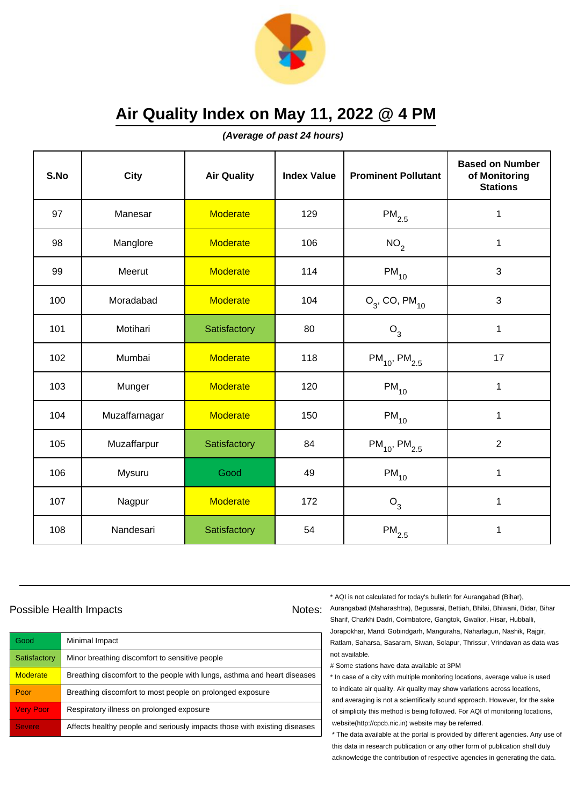

**(Average of past 24 hours)**

| S.No | City          | <b>Air Quality</b> | <b>Index Value</b> | <b>Prominent Pollutant</b>    | <b>Based on Number</b><br>of Monitoring<br><b>Stations</b> |
|------|---------------|--------------------|--------------------|-------------------------------|------------------------------------------------------------|
| 97   | Manesar       | <b>Moderate</b>    | 129                | $\mathsf{PM}_{2.5}$           | 1                                                          |
| 98   | Manglore      | <b>Moderate</b>    | 106                | NO <sub>2</sub>               | $\mathbf{1}$                                               |
| 99   | Meerut        | <b>Moderate</b>    | 114                | $PM_{10}$                     | 3                                                          |
| 100  | Moradabad     | <b>Moderate</b>    | 104                | $O_3$ , CO, PM <sub>10</sub>  | 3                                                          |
| 101  | Motihari      | Satisfactory       | 80                 | $O_3$                         | $\mathbf 1$                                                |
| 102  | Mumbai        | <b>Moderate</b>    | 118                | $PM_{10}$ , PM <sub>2.5</sub> | 17                                                         |
| 103  | Munger        | <b>Moderate</b>    | 120                | $\mathsf{PM}_{10}$            | 1                                                          |
| 104  | Muzaffarnagar | <b>Moderate</b>    | 150                | $PM_{10}$                     | 1                                                          |
| 105  | Muzaffarpur   | Satisfactory       | 84                 | $PM_{10}$ , $PM_{2.5}$        | $\overline{2}$                                             |
| 106  | Mysuru        | Good               | 49                 | $PM_{10}$                     | $\mathbf{1}$                                               |
| 107  | Nagpur        | <b>Moderate</b>    | 172                | $O_3$                         | 1                                                          |
| 108  | Nandesari     | Satisfactory       | 54                 | $\mathsf{PM}_{2.5}$           | 1                                                          |

### Possible Health Impacts

| Good             | Minimal Impact                                                            |
|------------------|---------------------------------------------------------------------------|
| Satisfactory     | Minor breathing discomfort to sensitive people                            |
| <b>Moderate</b>  | Breathing discomfort to the people with lungs, asthma and heart diseases  |
| Poor             | Breathing discomfort to most people on prolonged exposure                 |
| <b>Very Poor</b> | Respiratory illness on prolonged exposure                                 |
| <b>Severe</b>    | Affects healthy people and seriously impacts those with existing diseases |

\* AQI is not calculated for today's bulletin for Aurangabad (Bihar),

Notes: Aurangabad (Maharashtra), Begusarai, Bettiah, Bhilai, Bhiwani, Bidar, Bihar Sharif, Charkhi Dadri, Coimbatore, Gangtok, Gwalior, Hisar, Hubballi, Jorapokhar, Mandi Gobindgarh, Manguraha, Naharlagun, Nashik, Rajgir, Ratlam, Saharsa, Sasaram, Siwan, Solapur, Thrissur, Vrindavan as data was not available.

# Some stations have data available at 3PM

\* In case of a city with multiple monitoring locations, average value is used to indicate air quality. Air quality may show variations across locations, and averaging is not a scientifically sound approach. However, for the sake of simplicity this method is being followed. For AQI of monitoring locations, website(http://cpcb.nic.in) website may be referred.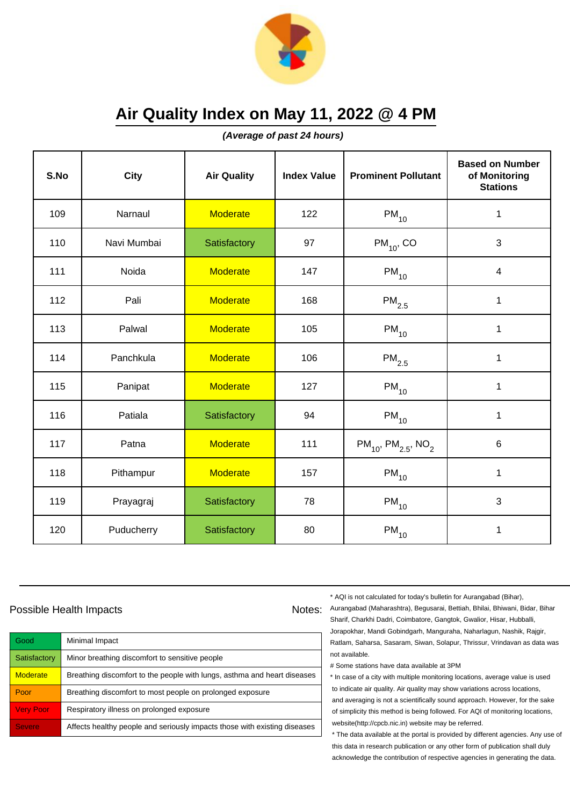

**(Average of past 24 hours)**

| S.No | <b>City</b> | <b>Air Quality</b> | <b>Index Value</b> | <b>Prominent Pollutant</b>                      | <b>Based on Number</b><br>of Monitoring<br><b>Stations</b> |
|------|-------------|--------------------|--------------------|-------------------------------------------------|------------------------------------------------------------|
| 109  | Narnaul     | <b>Moderate</b>    | 122                | $PM_{10}$                                       | 1                                                          |
| 110  | Navi Mumbai | Satisfactory       | 97                 | $PM_{10}$ , CO                                  | 3                                                          |
| 111  | Noida       | <b>Moderate</b>    | 147                | $PM_{10}$                                       | $\overline{\mathbf{4}}$                                    |
| 112  | Pali        | <b>Moderate</b>    | 168                | $\mathsf{PM}_{2.5}$                             | 1                                                          |
| 113  | Palwal      | <b>Moderate</b>    | 105                | $PM_{10}$                                       | 1                                                          |
| 114  | Panchkula   | <b>Moderate</b>    | 106                | $\mathsf{PM}_{2.5}$                             | 1                                                          |
| 115  | Panipat     | <b>Moderate</b>    | 127                | $PM_{10}$                                       | 1                                                          |
| 116  | Patiala     | Satisfactory       | 94                 | $PM_{10}$                                       | $\mathbf{1}$                                               |
| 117  | Patna       | <b>Moderate</b>    | 111                | $PM_{10}$ , PM <sub>2.5</sub> , NO <sub>2</sub> | 6                                                          |
| 118  | Pithampur   | <b>Moderate</b>    | 157                | $\mathsf{PM}_{10}$                              | $\mathbf 1$                                                |
| 119  | Prayagraj   | Satisfactory       | 78                 | $PM_{10}$                                       | 3                                                          |
| 120  | Puducherry  | Satisfactory       | 80                 | $PM_{10}$                                       | 1                                                          |

### Possible Health Impacts

| Good             | Minimal Impact                                                            |
|------------------|---------------------------------------------------------------------------|
| Satisfactory     | Minor breathing discomfort to sensitive people                            |
| <b>Moderate</b>  | Breathing discomfort to the people with lungs, asthma and heart diseases  |
| Poor             | Breathing discomfort to most people on prolonged exposure                 |
| <b>Very Poor</b> | Respiratory illness on prolonged exposure                                 |
| <b>Severe</b>    | Affects healthy people and seriously impacts those with existing diseases |

\* AQI is not calculated for today's bulletin for Aurangabad (Bihar),

Notes: Aurangabad (Maharashtra), Begusarai, Bettiah, Bhilai, Bhiwani, Bidar, Bihar Sharif, Charkhi Dadri, Coimbatore, Gangtok, Gwalior, Hisar, Hubballi, Jorapokhar, Mandi Gobindgarh, Manguraha, Naharlagun, Nashik, Rajgir, Ratlam, Saharsa, Sasaram, Siwan, Solapur, Thrissur, Vrindavan as data was not available.

# Some stations have data available at 3PM

\* In case of a city with multiple monitoring locations, average value is used to indicate air quality. Air quality may show variations across locations, and averaging is not a scientifically sound approach. However, for the sake of simplicity this method is being followed. For AQI of monitoring locations, website(http://cpcb.nic.in) website may be referred.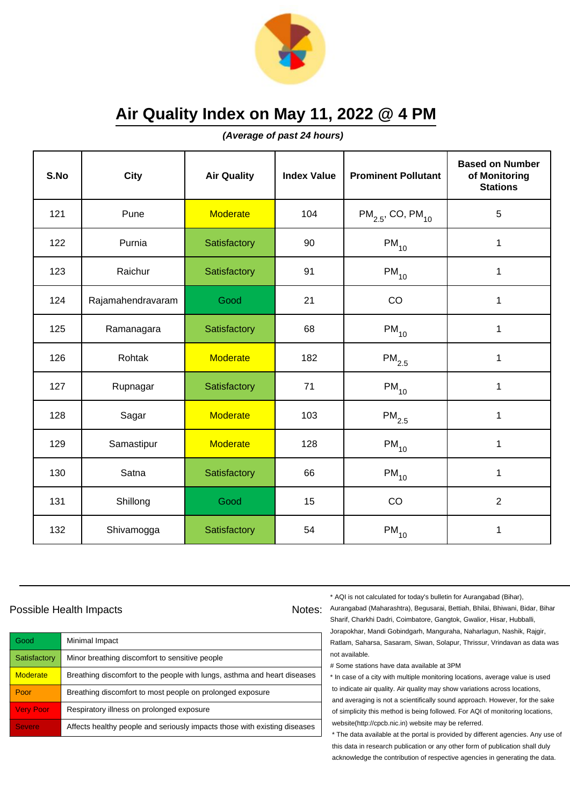

**(Average of past 24 hours)**

| S.No | <b>City</b>       | <b>Air Quality</b> | <b>Index Value</b> | <b>Prominent Pollutant</b>        | <b>Based on Number</b><br>of Monitoring<br><b>Stations</b> |
|------|-------------------|--------------------|--------------------|-----------------------------------|------------------------------------------------------------|
| 121  | Pune              | <b>Moderate</b>    | 104                | $PM_{2.5}$ , CO, PM <sub>10</sub> | 5                                                          |
| 122  | Purnia            | Satisfactory       | 90                 | $PM_{10}$                         | $\mathbf 1$                                                |
| 123  | Raichur           | Satisfactory       | 91                 | $PM_{10}$                         | 1                                                          |
| 124  | Rajamahendravaram | Good               | 21                 | CO                                | 1                                                          |
| 125  | Ramanagara        | Satisfactory       | 68                 | $PM_{10}$                         | 1                                                          |
| 126  | Rohtak            | <b>Moderate</b>    | 182                | $\mathsf{PM}_{2.5}$               | 1                                                          |
| 127  | Rupnagar          | Satisfactory       | 71                 | $PM_{10}$                         | 1                                                          |
| 128  | Sagar             | <b>Moderate</b>    | 103                | $PM_{2.5}$                        | 1                                                          |
| 129  | Samastipur        | <b>Moderate</b>    | 128                | $PM_{10}$                         | $\mathbf 1$                                                |
| 130  | Satna             | Satisfactory       | 66                 | $PM_{10}$                         | 1                                                          |
| 131  | Shillong          | Good               | 15                 | CO                                | $\overline{2}$                                             |
| 132  | Shivamogga        | Satisfactory       | 54                 | $PM_{10}$                         | 1                                                          |

### Possible Health Impacts

| Good             | Minimal Impact                                                            |
|------------------|---------------------------------------------------------------------------|
| Satisfactory     | Minor breathing discomfort to sensitive people                            |
| <b>Moderate</b>  | Breathing discomfort to the people with lungs, asthma and heart diseases  |
| Poor             | Breathing discomfort to most people on prolonged exposure                 |
| <b>Very Poor</b> | Respiratory illness on prolonged exposure                                 |
| <b>Severe</b>    | Affects healthy people and seriously impacts those with existing diseases |

\* AQI is not calculated for today's bulletin for Aurangabad (Bihar),

Notes: Aurangabad (Maharashtra), Begusarai, Bettiah, Bhilai, Bhiwani, Bidar, Bihar Sharif, Charkhi Dadri, Coimbatore, Gangtok, Gwalior, Hisar, Hubballi, Jorapokhar, Mandi Gobindgarh, Manguraha, Naharlagun, Nashik, Rajgir, Ratlam, Saharsa, Sasaram, Siwan, Solapur, Thrissur, Vrindavan as data was not available.

# Some stations have data available at 3PM

\* In case of a city with multiple monitoring locations, average value is used to indicate air quality. Air quality may show variations across locations, and averaging is not a scientifically sound approach. However, for the sake of simplicity this method is being followed. For AQI of monitoring locations, website(http://cpcb.nic.in) website may be referred.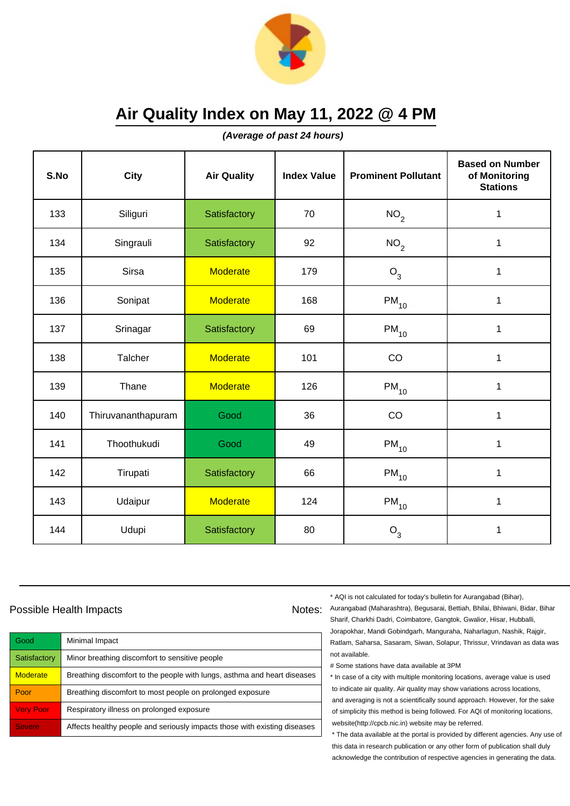

**(Average of past 24 hours)**

| S.No | <b>City</b>        | <b>Air Quality</b> | <b>Index Value</b> | <b>Prominent Pollutant</b> | <b>Based on Number</b><br>of Monitoring<br><b>Stations</b> |
|------|--------------------|--------------------|--------------------|----------------------------|------------------------------------------------------------|
| 133  | Siliguri           | Satisfactory       | 70                 | NO <sub>2</sub>            | 1                                                          |
| 134  | Singrauli          | Satisfactory       | 92                 | NO <sub>2</sub>            | 1                                                          |
| 135  | Sirsa              | <b>Moderate</b>    | 179                | $O_3$                      | $\mathbf 1$                                                |
| 136  | Sonipat            | Moderate           | 168                | $PM_{10}$                  | $\mathbf 1$                                                |
| 137  | Srinagar           | Satisfactory       | 69                 | $\mathsf{PM}_{10}$         | $\mathbf 1$                                                |
| 138  | Talcher            | <b>Moderate</b>    | 101                | CO                         | 1                                                          |
| 139  | Thane              | <b>Moderate</b>    | 126                | $\mathsf{PM}_{10}$         | 1                                                          |
| 140  | Thiruvananthapuram | Good               | 36                 | CO                         | 1                                                          |
| 141  | Thoothukudi        | Good               | 49                 | $\mathsf{PM}_{10}$         | $\mathbf 1$                                                |
| 142  | Tirupati           | Satisfactory       | 66                 | $PM_{10}$                  | 1                                                          |
| 143  | Udaipur            | <b>Moderate</b>    | 124                | $\mathsf{PM}_{10}$         | 1                                                          |
| 144  | Udupi              | Satisfactory       | 80                 | $O_3$                      | 1                                                          |

### Possible Health Impacts

| Good             | Minimal Impact                                                            |
|------------------|---------------------------------------------------------------------------|
| Satisfactory     | Minor breathing discomfort to sensitive people                            |
| <b>Moderate</b>  | Breathing discomfort to the people with lungs, asthma and heart diseases  |
| Poor             | Breathing discomfort to most people on prolonged exposure                 |
| <b>Very Poor</b> | Respiratory illness on prolonged exposure                                 |
| <b>Severe</b>    | Affects healthy people and seriously impacts those with existing diseases |

\* AQI is not calculated for today's bulletin for Aurangabad (Bihar),

Notes: Aurangabad (Maharashtra), Begusarai, Bettiah, Bhilai, Bhiwani, Bidar, Bihar Sharif, Charkhi Dadri, Coimbatore, Gangtok, Gwalior, Hisar, Hubballi, Jorapokhar, Mandi Gobindgarh, Manguraha, Naharlagun, Nashik, Rajgir, Ratlam, Saharsa, Sasaram, Siwan, Solapur, Thrissur, Vrindavan as data was not available.

# Some stations have data available at 3PM

\* In case of a city with multiple monitoring locations, average value is used to indicate air quality. Air quality may show variations across locations, and averaging is not a scientifically sound approach. However, for the sake of simplicity this method is being followed. For AQI of monitoring locations, website(http://cpcb.nic.in) website may be referred.